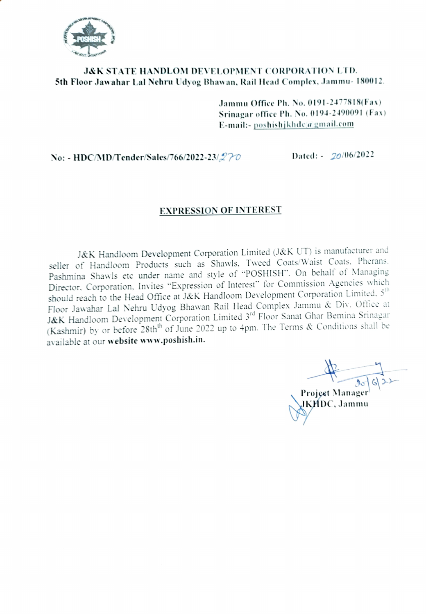

## J&K STATE HANDLOM DEVELOPMENT CORPORATION LTD. 5th Floor Jawahar Lal Nehru Udyog Bhawan, Rail Head Complex, Jammu- 180012.

Jammu Office Ph. No. 0191-2477818(Fav) Srinagar office Ph. No. 0194-2490091 (Fax) E-mail:- Doshishjkhdc a gmail.com

No: - HDC/MD/Tender/Sales/766/2022-23/270 Dated: - 20/06/2022

## EXPRESSION OF INTEREST

J&K Handloom Development Corporation Limited (J&K UT) is manufacturer and seller of Handloom Products such as Shawls. Tweed Coats/Waist Coats. Pherans. Pashmina Shawls etc under name and style of "POSHISH". On behalf of Managing Director. Corporation. Invites "Expression of Interest" for Commission Ageneies whieh should reach to the Head Office at J&K Handloom Development Corporation Limited. 5<sup>th</sup> Floor Jawahar Lal Nehru Udyog Bhawan Rail Head Complex Jammu & Div. Ottice at J&K Handloom Development Corporation Limited 3<sup>rd</sup> Floor Sanat Ghar Bemina Srinagar (Kashmir) by or before 28th" of June 2022 up to 4pm. The Terms & Conditions shall be available at our website www.poshish.in.

Projeet Manager

JKHDC, Jammu